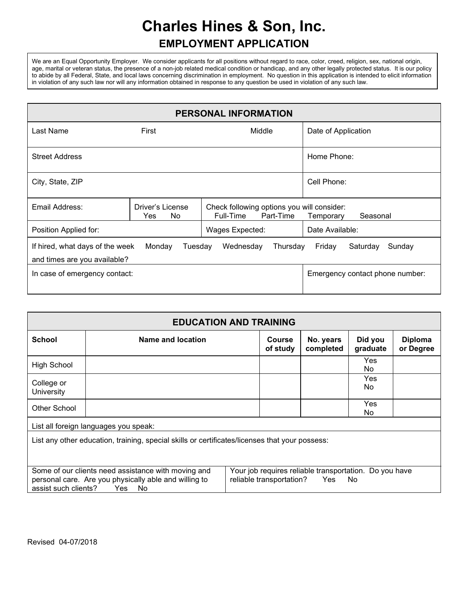# **Charles Hines & Son, Inc. EMPLOYMENT APPLICATION**

We are an Equal Opportunity Employer. We consider applicants for all positions without regard to race, color, creed, religion, sex, national origin, age, marital or veteran status, the presence of a non-job related medical condition or handicap, and any other legally protected status. It is our policy to abide by all Federal, State, and local laws concerning discrimination in employment. No question in this application is intended to elicit information in violation of any such law nor will any information obtained in response to any question be used in violation of any such law.

| PERSONAL INFORMATION                                                                                                                          |                                 |                                                                      |                                 |  |  |
|-----------------------------------------------------------------------------------------------------------------------------------------------|---------------------------------|----------------------------------------------------------------------|---------------------------------|--|--|
| Last Name                                                                                                                                     | First                           | Middle                                                               | Date of Application             |  |  |
| <b>Street Address</b>                                                                                                                         |                                 |                                                                      | Home Phone:                     |  |  |
| City, State, ZIP                                                                                                                              |                                 |                                                                      | Cell Phone:                     |  |  |
| Email Address:                                                                                                                                | Driver's License<br>No.<br>Yes. | Check following options you will consider:<br>Full-Time<br>Part-Time | Seasonal<br>Temporary           |  |  |
| Position Applied for:                                                                                                                         |                                 | Wages Expected:                                                      | Date Available:                 |  |  |
| If hired, what days of the week<br>Monday<br>Sunday<br>Wednesday<br>Saturday<br>Tuesday<br>Thursday<br>Friday<br>and times are you available? |                                 |                                                                      |                                 |  |  |
| In case of emergency contact:                                                                                                                 |                                 |                                                                      | Emergency contact phone number: |  |  |

| <b>EDUCATION AND TRAINING</b>                                                                                                                                                                                                                               |                                       |  |                           |                        |                     |                             |
|-------------------------------------------------------------------------------------------------------------------------------------------------------------------------------------------------------------------------------------------------------------|---------------------------------------|--|---------------------------|------------------------|---------------------|-----------------------------|
| <b>School</b>                                                                                                                                                                                                                                               | Name and location                     |  | <b>Course</b><br>of study | No. years<br>completed | Did you<br>graduate | <b>Diploma</b><br>or Degree |
| <b>High School</b>                                                                                                                                                                                                                                          |                                       |  |                           |                        | Yes<br>No.          |                             |
| College or<br>University                                                                                                                                                                                                                                    |                                       |  |                           |                        | Yes<br>No.          |                             |
| Other School                                                                                                                                                                                                                                                |                                       |  |                           |                        | Yes<br>No.          |                             |
|                                                                                                                                                                                                                                                             | List all foreign languages you speak: |  |                           |                        |                     |                             |
| List any other education, training, special skills or certificates/licenses that your possess:                                                                                                                                                              |                                       |  |                           |                        |                     |                             |
| Some of our clients need assistance with moving and<br>Your job requires reliable transportation. Do you have<br>personal care. Are you physically able and willing to<br>reliable transportation? Yes<br>No.<br>assist such clients?<br><b>Yes</b><br>- No |                                       |  |                           |                        |                     |                             |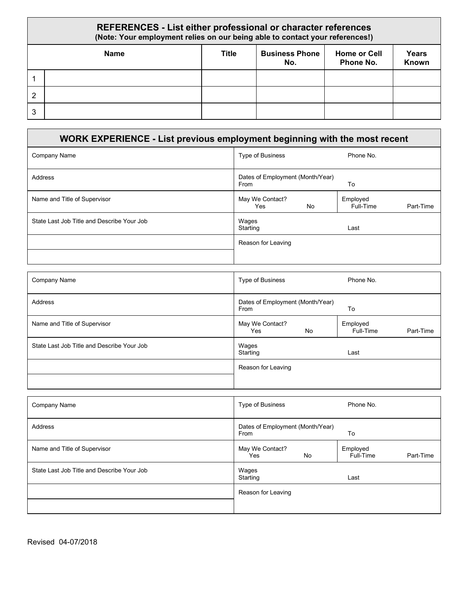#### **REFERENCES - List either professional or character references (Note: Your employment relies on our being able to contact your references!) Name Title Business Phone No. Home or Cell Phone No. Years Known** 1 2 3

### **WORK EXPERIENCE - List previous employment beginning with the most recent** Company Name **Type of Business** Phone No. Address **Dates of Employment (Month/Year)** Dates of Employment (Month/Year) From **To** Name and Title of Supervisor May We Contact and Title of Supervisor May We Contact Assembly May We Contact May We Contact May West Step May We Contact May Mess May We Contact?<br>Yes No Employed<br>Full-Time Part-Time State Last Job Title and Describe Your Job Wages Starting Last Reason for Leaving

| <b>Company Name</b>                        | Type of Business                         | Phone No.                          |
|--------------------------------------------|------------------------------------------|------------------------------------|
| Address                                    | Dates of Employment (Month/Year)<br>From | To                                 |
| Name and Title of Supervisor               | May We Contact?<br>Yes<br>No             | Employed<br>Full-Time<br>Part-Time |
| State Last Job Title and Describe Your Job | Wages<br>Starting                        | Last                               |
|                                            | Reason for Leaving                       |                                    |
|                                            |                                          |                                    |

| <b>Company Name</b>                        | Type of Business<br>Phone No.                                      |
|--------------------------------------------|--------------------------------------------------------------------|
| Address                                    | Dates of Employment (Month/Year)<br>To<br>From                     |
| Name and Title of Supervisor               | May We Contact?<br>Employed<br>No<br>Part-Time<br>Full-Time<br>Yes |
| State Last Job Title and Describe Your Job | Wages<br>Starting<br>Last                                          |
|                                            | Reason for Leaving                                                 |
|                                            |                                                                    |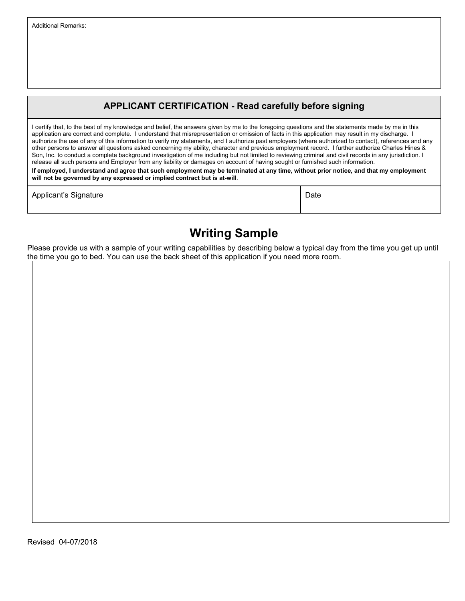#### **APPLICANT CERTIFICATION - Read carefully before signing**

I certify that, to the best of my knowledge and belief, the answers given by me to the foregoing questions and the statements made by me in this application are correct and complete. I understand that misrepresentation or omission of facts in this application may result in my discharge. I authorize the use of any of this information to verify my statements, and I authorize past employers (where authorized to contact), references and any other persons to answer all questions asked concerning my ability, character and previous employment record. I further authorize Charles Hines & Son, Inc. to conduct a complete background investigation of me including but not limited to reviewing criminal and civil records in any jurisdiction. I release all such persons and Employer from any liability or damages on account of having sought or furnished such information.

**If employed, I understand and agree that such employment may be terminated at any time, without prior notice, and that my employment will not be governed by any expressed or implied contract but is at-will**.

| Applicant's Signature |  | Date |
|-----------------------|--|------|
|-----------------------|--|------|

## **Writing Sample**

Please provide us with a sample of your writing capabilities by describing below a typical day from the time you get up until the time you go to bed. You can use the back sheet of this application if you need more room.